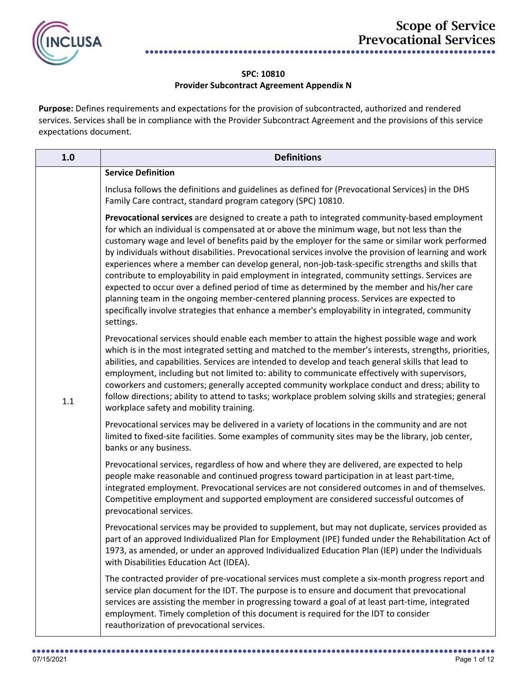

## **SPC: 10810 Provider Subcontract Agreement Appendix N**

Purpose: Defines requirements and expectations for the provision of subcontracted, authorized and rendered services. Services shall be in compliance with the Provider Subcontract Agreement and the provisions of this service expectations document.

| 1.0 | <b>Definitions</b>                                                                                                                                                                                                                                                                                                                                                                                                                                                                                                                                                                                                                                                                                                                                                                                                                                                                                                       |
|-----|--------------------------------------------------------------------------------------------------------------------------------------------------------------------------------------------------------------------------------------------------------------------------------------------------------------------------------------------------------------------------------------------------------------------------------------------------------------------------------------------------------------------------------------------------------------------------------------------------------------------------------------------------------------------------------------------------------------------------------------------------------------------------------------------------------------------------------------------------------------------------------------------------------------------------|
|     | <b>Service Definition</b>                                                                                                                                                                                                                                                                                                                                                                                                                                                                                                                                                                                                                                                                                                                                                                                                                                                                                                |
|     | Inclusa follows the definitions and guidelines as defined for (Prevocational Services) in the DHS<br>Family Care contract, standard program category (SPC) 10810.                                                                                                                                                                                                                                                                                                                                                                                                                                                                                                                                                                                                                                                                                                                                                        |
|     | Prevocational services are designed to create a path to integrated community-based employment<br>for which an individual is compensated at or above the minimum wage, but not less than the<br>customary wage and level of benefits paid by the employer for the same or similar work performed<br>by individuals without disabilities. Prevocational services involve the provision of learning and work<br>experiences where a member can develop general, non-job-task-specific strengths and skills that<br>contribute to employability in paid employment in integrated, community settings. Services are<br>expected to occur over a defined period of time as determined by the member and his/her care<br>planning team in the ongoing member-centered planning process. Services are expected to<br>specifically involve strategies that enhance a member's employability in integrated, community<br>settings. |
| 1.1 | Prevocational services should enable each member to attain the highest possible wage and work<br>which is in the most integrated setting and matched to the member's interests, strengths, priorities,<br>abilities, and capabilities. Services are intended to develop and teach general skills that lead to<br>employment, including but not limited to: ability to communicate effectively with supervisors,<br>coworkers and customers; generally accepted community workplace conduct and dress; ability to<br>follow directions; ability to attend to tasks; workplace problem solving skills and strategies; general<br>workplace safety and mobility training.                                                                                                                                                                                                                                                   |
|     | Prevocational services may be delivered in a variety of locations in the community and are not<br>limited to fixed-site facilities. Some examples of community sites may be the library, job center,<br>banks or any business.                                                                                                                                                                                                                                                                                                                                                                                                                                                                                                                                                                                                                                                                                           |
|     | Prevocational services, regardless of how and where they are delivered, are expected to help<br>people make reasonable and continued progress toward participation in at least part-time,<br>integrated employment. Prevocational services are not considered outcomes in and of themselves.<br>Competitive employment and supported employment are considered successful outcomes of<br>prevocational services.                                                                                                                                                                                                                                                                                                                                                                                                                                                                                                         |
|     | Prevocational services may be provided to supplement, but may not duplicate, services provided as<br>part of an approved Individualized Plan for Employment (IPE) funded under the Rehabilitation Act of<br>1973, as amended, or under an approved Individualized Education Plan (IEP) under the Individuals<br>with Disabilities Education Act (IDEA).                                                                                                                                                                                                                                                                                                                                                                                                                                                                                                                                                                  |
|     | The contracted provider of pre-vocational services must complete a six-month progress report and<br>service plan document for the IDT. The purpose is to ensure and document that prevocational<br>services are assisting the member in progressing toward a goal of at least part-time, integrated<br>employment. Timely completion of this document is required for the IDT to consider<br>reauthorization of prevocational services.                                                                                                                                                                                                                                                                                                                                                                                                                                                                                  |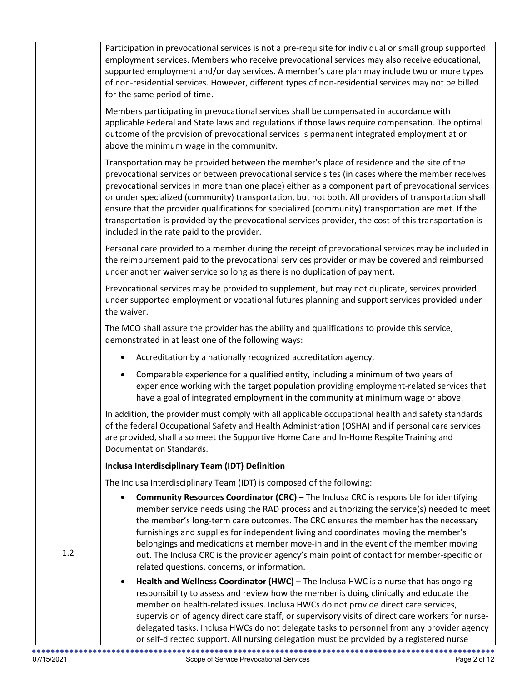|     | Participation in prevocational services is not a pre-requisite for individual or small group supported<br>employment services. Members who receive prevocational services may also receive educational,<br>supported employment and/or day services. A member's care plan may include two or more types<br>of non-residential services. However, different types of non-residential services may not be billed<br>for the same period of time.                                                                                                                                                                                                                              |
|-----|-----------------------------------------------------------------------------------------------------------------------------------------------------------------------------------------------------------------------------------------------------------------------------------------------------------------------------------------------------------------------------------------------------------------------------------------------------------------------------------------------------------------------------------------------------------------------------------------------------------------------------------------------------------------------------|
|     | Members participating in prevocational services shall be compensated in accordance with<br>applicable Federal and State laws and regulations if those laws require compensation. The optimal<br>outcome of the provision of prevocational services is permanent integrated employment at or<br>above the minimum wage in the community.                                                                                                                                                                                                                                                                                                                                     |
|     | Transportation may be provided between the member's place of residence and the site of the<br>prevocational services or between prevocational service sites (in cases where the member receives<br>prevocational services in more than one place) either as a component part of prevocational services<br>or under specialized (community) transportation, but not both. All providers of transportation shall<br>ensure that the provider qualifications for specialized (community) transportation are met. If the<br>transportation is provided by the prevocational services provider, the cost of this transportation is<br>included in the rate paid to the provider. |
|     | Personal care provided to a member during the receipt of prevocational services may be included in<br>the reimbursement paid to the prevocational services provider or may be covered and reimbursed<br>under another waiver service so long as there is no duplication of payment.                                                                                                                                                                                                                                                                                                                                                                                         |
|     | Prevocational services may be provided to supplement, but may not duplicate, services provided<br>under supported employment or vocational futures planning and support services provided under<br>the waiver.                                                                                                                                                                                                                                                                                                                                                                                                                                                              |
|     | The MCO shall assure the provider has the ability and qualifications to provide this service,<br>demonstrated in at least one of the following ways:                                                                                                                                                                                                                                                                                                                                                                                                                                                                                                                        |
|     | Accreditation by a nationally recognized accreditation agency.                                                                                                                                                                                                                                                                                                                                                                                                                                                                                                                                                                                                              |
|     | Comparable experience for a qualified entity, including a minimum of two years of<br>experience working with the target population providing employment-related services that<br>have a goal of integrated employment in the community at minimum wage or above.                                                                                                                                                                                                                                                                                                                                                                                                            |
|     | In addition, the provider must comply with all applicable occupational health and safety standards<br>of the federal Occupational Safety and Health Administration (OSHA) and if personal care services<br>are provided, shall also meet the Supportive Home Care and In-Home Respite Training and<br>Documentation Standards.                                                                                                                                                                                                                                                                                                                                              |
|     | Inclusa Interdisciplinary Team (IDT) Definition                                                                                                                                                                                                                                                                                                                                                                                                                                                                                                                                                                                                                             |
| 1.2 | The Inclusa Interdisciplinary Team (IDT) is composed of the following:                                                                                                                                                                                                                                                                                                                                                                                                                                                                                                                                                                                                      |
|     | <b>Community Resources Coordinator (CRC)</b> - The Inclusa CRC is responsible for identifying<br>member service needs using the RAD process and authorizing the service(s) needed to meet<br>the member's long-term care outcomes. The CRC ensures the member has the necessary<br>furnishings and supplies for independent living and coordinates moving the member's<br>belongings and medications at member move-in and in the event of the member moving<br>out. The Inclusa CRC is the provider agency's main point of contact for member-specific or<br>related questions, concerns, or information.                                                                  |
|     | Health and Wellness Coordinator (HWC) - The Inclusa HWC is a nurse that has ongoing<br>responsibility to assess and review how the member is doing clinically and educate the<br>member on health-related issues. Inclusa HWCs do not provide direct care services,<br>supervision of agency direct care staff, or supervisory visits of direct care workers for nurse-<br>delegated tasks. Inclusa HWCs do not delegate tasks to personnel from any provider agency<br>or self-directed support. All nursing delegation must be provided by a registered nurse                                                                                                             |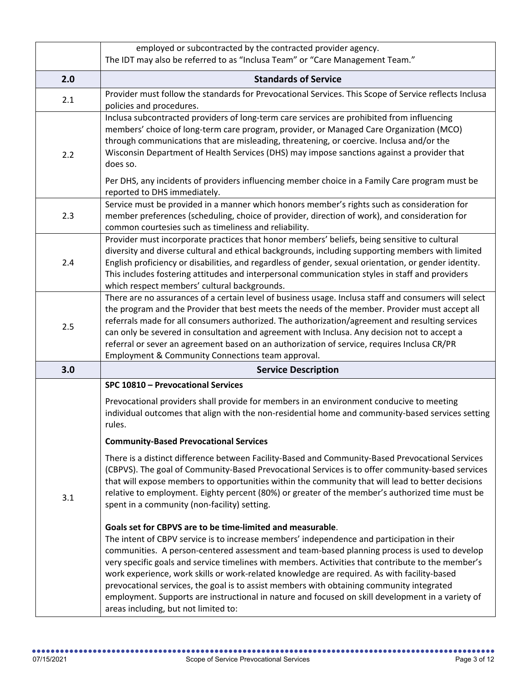|     | employed or subcontracted by the contracted provider agency.<br>The IDT may also be referred to as "Inclusa Team" or "Care Management Team."                                                                                                                                                                                                                                                                                                                                                                                                                                                                                                                                                            |  |  |  |  |  |
|-----|---------------------------------------------------------------------------------------------------------------------------------------------------------------------------------------------------------------------------------------------------------------------------------------------------------------------------------------------------------------------------------------------------------------------------------------------------------------------------------------------------------------------------------------------------------------------------------------------------------------------------------------------------------------------------------------------------------|--|--|--|--|--|
| 2.0 | <b>Standards of Service</b>                                                                                                                                                                                                                                                                                                                                                                                                                                                                                                                                                                                                                                                                             |  |  |  |  |  |
| 2.1 | Provider must follow the standards for Prevocational Services. This Scope of Service reflects Inclusa<br>policies and procedures.                                                                                                                                                                                                                                                                                                                                                                                                                                                                                                                                                                       |  |  |  |  |  |
| 2.2 | Inclusa subcontracted providers of long-term care services are prohibited from influencing<br>members' choice of long-term care program, provider, or Managed Care Organization (MCO)<br>through communications that are misleading, threatening, or coercive. Inclusa and/or the<br>Wisconsin Department of Health Services (DHS) may impose sanctions against a provider that<br>does so.                                                                                                                                                                                                                                                                                                             |  |  |  |  |  |
|     | Per DHS, any incidents of providers influencing member choice in a Family Care program must be<br>reported to DHS immediately.<br>Service must be provided in a manner which honors member's rights such as consideration for                                                                                                                                                                                                                                                                                                                                                                                                                                                                           |  |  |  |  |  |
| 2.3 | member preferences (scheduling, choice of provider, direction of work), and consideration for<br>common courtesies such as timeliness and reliability.                                                                                                                                                                                                                                                                                                                                                                                                                                                                                                                                                  |  |  |  |  |  |
| 2.4 | Provider must incorporate practices that honor members' beliefs, being sensitive to cultural<br>diversity and diverse cultural and ethical backgrounds, including supporting members with limited<br>English proficiency or disabilities, and regardless of gender, sexual orientation, or gender identity.<br>This includes fostering attitudes and interpersonal communication styles in staff and providers<br>which respect members' cultural backgrounds.                                                                                                                                                                                                                                          |  |  |  |  |  |
| 2.5 | There are no assurances of a certain level of business usage. Inclusa staff and consumers will select<br>the program and the Provider that best meets the needs of the member. Provider must accept all<br>referrals made for all consumers authorized. The authorization/agreement and resulting services<br>can only be severed in consultation and agreement with Inclusa. Any decision not to accept a<br>referral or sever an agreement based on an authorization of service, requires Inclusa CR/PR<br>Employment & Community Connections team approval.                                                                                                                                          |  |  |  |  |  |
| 3.0 | <b>Service Description</b>                                                                                                                                                                                                                                                                                                                                                                                                                                                                                                                                                                                                                                                                              |  |  |  |  |  |
|     | SPC 10810 - Prevocational Services                                                                                                                                                                                                                                                                                                                                                                                                                                                                                                                                                                                                                                                                      |  |  |  |  |  |
|     | Prevocational providers shall provide for members in an environment conducive to meeting<br>individual outcomes that align with the non-residential home and community-based services setting<br>rules.                                                                                                                                                                                                                                                                                                                                                                                                                                                                                                 |  |  |  |  |  |
|     | <b>Community-Based Prevocational Services</b>                                                                                                                                                                                                                                                                                                                                                                                                                                                                                                                                                                                                                                                           |  |  |  |  |  |
| 3.1 | There is a distinct difference between Facility-Based and Community-Based Prevocational Services<br>(CBPVS). The goal of Community-Based Prevocational Services is to offer community-based services<br>that will expose members to opportunities within the community that will lead to better decisions<br>relative to employment. Eighty percent (80%) or greater of the member's authorized time must be<br>spent in a community (non-facility) setting.                                                                                                                                                                                                                                            |  |  |  |  |  |
|     | Goals set for CBPVS are to be time-limited and measurable.<br>The intent of CBPV service is to increase members' independence and participation in their<br>communities. A person-centered assessment and team-based planning process is used to develop<br>very specific goals and service timelines with members. Activities that contribute to the member's<br>work experience, work skills or work-related knowledge are required. As with facility-based<br>prevocational services, the goal is to assist members with obtaining community integrated<br>employment. Supports are instructional in nature and focused on skill development in a variety of<br>areas including, but not limited to: |  |  |  |  |  |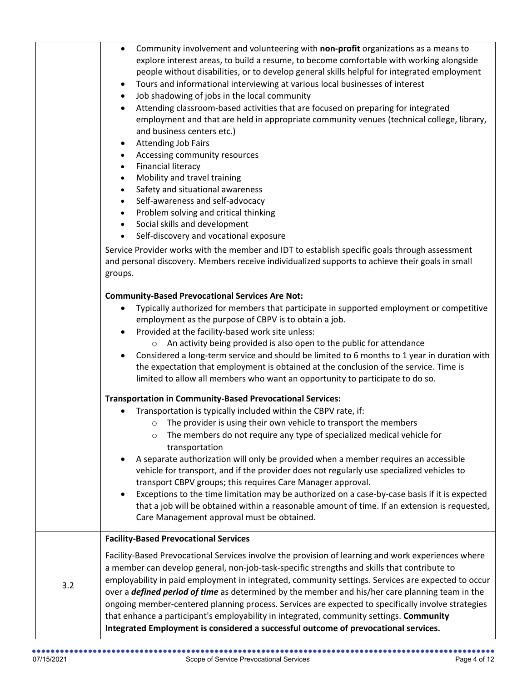|     | Community involvement and volunteering with non-profit organizations as a means to<br>$\bullet$<br>explore interest areas, to build a resume, to become comfortable with working alongside<br>people without disabilities, or to develop general skills helpful for integrated employment<br>Tours and informational interviewing at various local businesses of interest<br>$\bullet$<br>Job shadowing of jobs in the local community<br>$\bullet$<br>Attending classroom-based activities that are focused on preparing for integrated<br>employment and that are held in appropriate community venues (technical college, library,<br>and business centers etc.)<br><b>Attending Job Fairs</b><br>$\bullet$<br>Accessing community resources<br>$\bullet$<br><b>Financial literacy</b><br>$\bullet$<br>Mobility and travel training<br>$\bullet$<br>Safety and situational awareness<br>$\bullet$<br>Self-awareness and self-advocacy<br>$\bullet$<br>Problem solving and critical thinking<br>Social skills and development<br>$\bullet$<br>Self-discovery and vocational exposure<br>$\bullet$<br>Service Provider works with the member and IDT to establish specific goals through assessment<br>and personal discovery. Members receive individualized supports to achieve their goals in small<br>groups. |
|-----|--------------------------------------------------------------------------------------------------------------------------------------------------------------------------------------------------------------------------------------------------------------------------------------------------------------------------------------------------------------------------------------------------------------------------------------------------------------------------------------------------------------------------------------------------------------------------------------------------------------------------------------------------------------------------------------------------------------------------------------------------------------------------------------------------------------------------------------------------------------------------------------------------------------------------------------------------------------------------------------------------------------------------------------------------------------------------------------------------------------------------------------------------------------------------------------------------------------------------------------------------------------------------------------------------------------------|
|     | <b>Community-Based Prevocational Services Are Not:</b><br>Typically authorized for members that participate in supported employment or competitive<br>employment as the purpose of CBPV is to obtain a job.<br>Provided at the facility-based work site unless:<br>An activity being provided is also open to the public for attendance<br>$\circ$<br>Considered a long-term service and should be limited to 6 months to 1 year in duration with<br>the expectation that employment is obtained at the conclusion of the service. Time is<br>limited to allow all members who want an opportunity to participate to do so.                                                                                                                                                                                                                                                                                                                                                                                                                                                                                                                                                                                                                                                                                        |
|     | <b>Transportation in Community-Based Prevocational Services:</b><br>Transportation is typically included within the CBPV rate, if:<br>The provider is using their own vehicle to transport the members<br>$\circ$<br>The members do not require any type of specialized medical vehicle for<br>transportation<br>A separate authorization will only be provided when a member requires an accessible<br>vehicle for transport, and if the provider does not regularly use specialized vehicles to<br>transport CBPV groups; this requires Care Manager approval.<br>Exceptions to the time limitation may be authorized on a case-by-case basis if it is expected<br>that a job will be obtained within a reasonable amount of time. If an extension is requested,<br>Care Management approval must be obtained.                                                                                                                                                                                                                                                                                                                                                                                                                                                                                                   |
| 3.2 | <b>Facility-Based Prevocational Services</b><br>Facility-Based Prevocational Services involve the provision of learning and work experiences where<br>a member can develop general, non-job-task-specific strengths and skills that contribute to<br>employability in paid employment in integrated, community settings. Services are expected to occur<br>over a <i>defined period of time</i> as determined by the member and his/her care planning team in the<br>ongoing member-centered planning process. Services are expected to specifically involve strategies<br>that enhance a participant's employability in integrated, community settings. Community<br>Integrated Employment is considered a successful outcome of prevocational services.                                                                                                                                                                                                                                                                                                                                                                                                                                                                                                                                                          |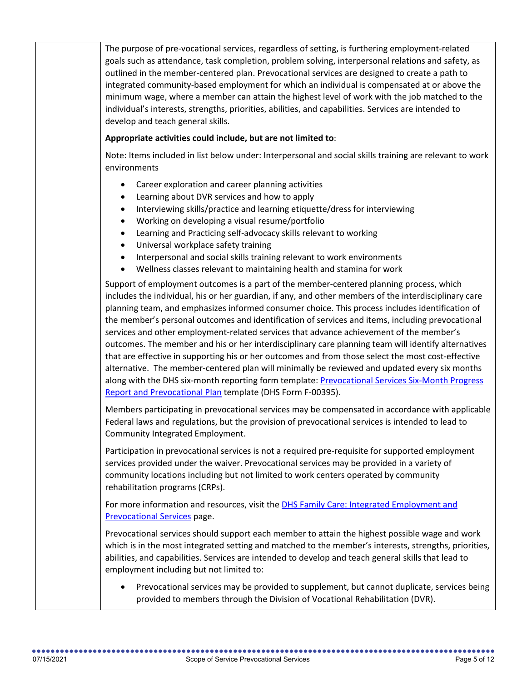The purpose of pre-vocational services, regardless of setting, is furthering employment-related goals such as attendance, task completion, problem solving, interpersonal relations and safety, as outlined in the member-centered plan. Prevocational services are designed to create a path to integrated community-based employment for which an individual is compensated at or above the minimum wage, where a member can attain the highest level of work with the job matched to the individual's interests, strengths, priorities, abilities, and capabilities. Services are intended to develop and teach general skills.

## **Appropriate activities could include, but are not limited to**:

Note: Items included in list below under: Interpersonal and social skills training are relevant to work environments

- Career exploration and career planning activities
- Learning about DVR services and how to apply
- Interviewing skills/practice and learning etiquette/dress for interviewing
- Working on developing a visual resume/portfolio
- Learning and Practicing self-advocacy skills relevant to working
- Universal workplace safety training
- Interpersonal and social skills training relevant to work environments
- Wellness classes relevant to maintaining health and stamina for work

Support of employment outcomes is a part of the member-centered planning process, which includes the individual, his or her guardian, if any, and other members of the interdisciplinary care planning team, and emphasizes informed consumer choice. This process includes identification of the member's personal outcomes and identification of services and items, including prevocational services and other employment-related services that advance achievement of the member's outcomes. The member and his or her interdisciplinary care planning team will identify alternatives that are effective in supporting his or her outcomes and from those select the most cost-effective alternative. The member-centered plan will minimally be reviewed and updated every six months along with the DHS six-month reporting form template: [Prevocational Services Six-Month Progress](https://www.dhs.wisconsin.gov/forms/f0/f00395.docx)  [Report and Prevocational Plan](https://www.dhs.wisconsin.gov/forms/f0/f00395.docx) template (DHS Form F-00395).

Members participating in prevocational services may be compensated in accordance with applicable Federal laws and regulations, but the provision of prevocational services is intended to lead to Community Integrated Employment.

Participation in prevocational services is not a required pre-requisite for supported employment services provided under the waiver. Prevocational services may be provided in a variety of community locations including but not limited to work centers operated by community rehabilitation programs (CRPs).

For more information and resources, visit the [DHS Family Care: Integrated Employment and](https://www.dhs.wisconsin.gov/familycare/mcos/prevoc.htm)  [Prevocational Services](https://www.dhs.wisconsin.gov/familycare/mcos/prevoc.htm) page.

Prevocational services should support each member to attain the highest possible wage and work which is in the most integrated setting and matched to the member's interests, strengths, priorities, abilities, and capabilities. Services are intended to develop and teach general skills that lead to employment including but not limited to:

• Prevocational services may be provided to supplement, but cannot duplicate, services being provided to members through the Division of Vocational Rehabilitation (DVR).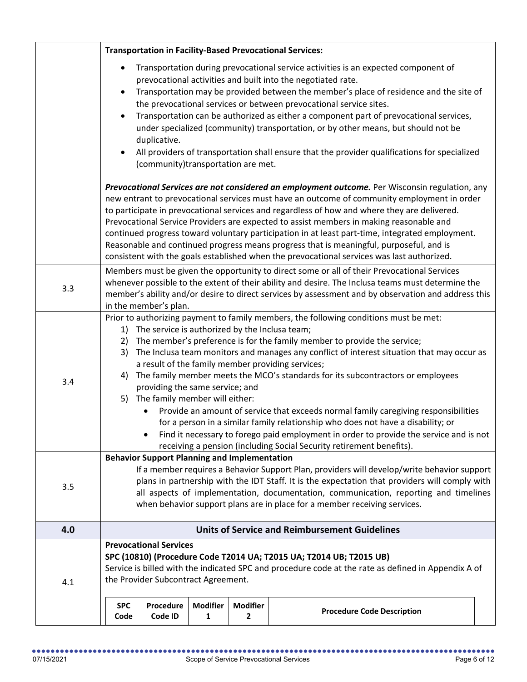|     | <b>Transportation in Facility-Based Prevocational Services:</b>                                                                                                                                                                                                                                                                                                                                                                                                                                                                                                                                                                                                                                                                                                                                                                |                                                    |                      |                                   |                                                                                                                                                                                                                                                                                                                                                                                                                                                                                                                                                                                                     |  |
|-----|--------------------------------------------------------------------------------------------------------------------------------------------------------------------------------------------------------------------------------------------------------------------------------------------------------------------------------------------------------------------------------------------------------------------------------------------------------------------------------------------------------------------------------------------------------------------------------------------------------------------------------------------------------------------------------------------------------------------------------------------------------------------------------------------------------------------------------|----------------------------------------------------|----------------------|-----------------------------------|-----------------------------------------------------------------------------------------------------------------------------------------------------------------------------------------------------------------------------------------------------------------------------------------------------------------------------------------------------------------------------------------------------------------------------------------------------------------------------------------------------------------------------------------------------------------------------------------------------|--|
|     | $\bullet$                                                                                                                                                                                                                                                                                                                                                                                                                                                                                                                                                                                                                                                                                                                                                                                                                      | duplicative.<br>(community)transportation are met. |                      |                                   | Transportation during prevocational service activities is an expected component of<br>prevocational activities and built into the negotiated rate.<br>Transportation may be provided between the member's place of residence and the site of<br>the prevocational services or between prevocational service sites.<br>Transportation can be authorized as either a component part of prevocational services,<br>under specialized (community) transportation, or by other means, but should not be<br>All providers of transportation shall ensure that the provider qualifications for specialized |  |
|     | Prevocational Services are not considered an employment outcome. Per Wisconsin regulation, any<br>new entrant to prevocational services must have an outcome of community employment in order<br>to participate in prevocational services and regardless of how and where they are delivered.<br>Prevocational Service Providers are expected to assist members in making reasonable and<br>continued progress toward voluntary participation in at least part-time, integrated employment.<br>Reasonable and continued progress means progress that is meaningful, purposeful, and is<br>consistent with the goals established when the prevocational services was last authorized.                                                                                                                                           |                                                    |                      |                                   |                                                                                                                                                                                                                                                                                                                                                                                                                                                                                                                                                                                                     |  |
| 3.3 | Members must be given the opportunity to direct some or all of their Prevocational Services<br>whenever possible to the extent of their ability and desire. The Inclusa teams must determine the<br>member's ability and/or desire to direct services by assessment and by observation and address this<br>in the member's plan.                                                                                                                                                                                                                                                                                                                                                                                                                                                                                               |                                                    |                      |                                   |                                                                                                                                                                                                                                                                                                                                                                                                                                                                                                                                                                                                     |  |
| 3.4 | Prior to authorizing payment to family members, the following conditions must be met:<br>The service is authorized by the Inclusa team;<br>1)<br>The member's preference is for the family member to provide the service;<br>2)<br>The Inclusa team monitors and manages any conflict of interest situation that may occur as<br>3)<br>a result of the family member providing services;<br>The family member meets the MCO's standards for its subcontractors or employees<br>4)<br>providing the same service; and<br>5) The family member will either:<br>Provide an amount of service that exceeds normal family caregiving responsibilities<br>for a person in a similar family relationship who does not have a disability; or<br>Find it necessary to forego paid employment in order to provide the service and is not |                                                    |                      |                                   |                                                                                                                                                                                                                                                                                                                                                                                                                                                                                                                                                                                                     |  |
| 3.5 | receiving a pension (including Social Security retirement benefits).<br><b>Behavior Support Planning and Implementation</b><br>If a member requires a Behavior Support Plan, providers will develop/write behavior support<br>plans in partnership with the IDT Staff. It is the expectation that providers will comply with<br>all aspects of implementation, documentation, communication, reporting and timelines<br>when behavior support plans are in place for a member receiving services.                                                                                                                                                                                                                                                                                                                              |                                                    |                      |                                   |                                                                                                                                                                                                                                                                                                                                                                                                                                                                                                                                                                                                     |  |
| 4.0 |                                                                                                                                                                                                                                                                                                                                                                                                                                                                                                                                                                                                                                                                                                                                                                                                                                |                                                    |                      |                                   | <b>Units of Service and Reimbursement Guidelines</b>                                                                                                                                                                                                                                                                                                                                                                                                                                                                                                                                                |  |
| 4.1 | <b>Prevocational Services</b><br>SPC (10810) (Procedure Code T2014 UA; T2015 UA; T2014 UB; T2015 UB)<br>Service is billed with the indicated SPC and procedure code at the rate as defined in Appendix A of<br>the Provider Subcontract Agreement.                                                                                                                                                                                                                                                                                                                                                                                                                                                                                                                                                                             |                                                    |                      |                                   |                                                                                                                                                                                                                                                                                                                                                                                                                                                                                                                                                                                                     |  |
|     | <b>SPC</b><br>Code                                                                                                                                                                                                                                                                                                                                                                                                                                                                                                                                                                                                                                                                                                                                                                                                             | Procedure<br>Code ID                               | <b>Modifier</b><br>1 | <b>Modifier</b><br>$\overline{2}$ | <b>Procedure Code Description</b>                                                                                                                                                                                                                                                                                                                                                                                                                                                                                                                                                                   |  |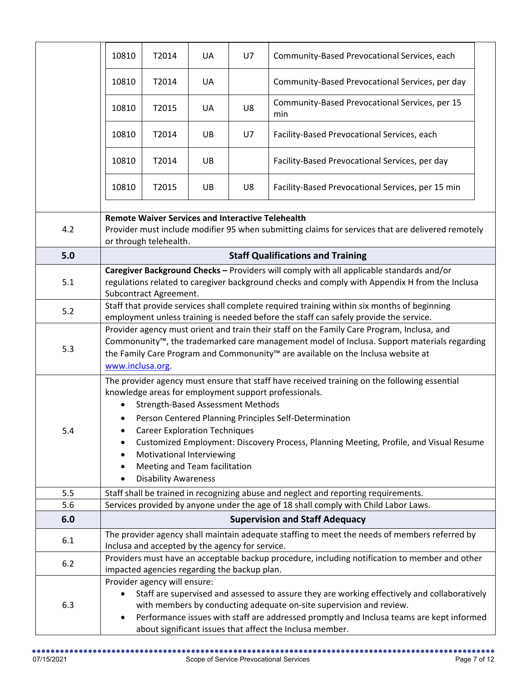|     | 10810                                                                                                                                                                                                                                                                                                                                                                                                                                                                                           | T2014                                           | UA | U7 | Community-Based Prevocational Services, each                                                   |  |
|-----|-------------------------------------------------------------------------------------------------------------------------------------------------------------------------------------------------------------------------------------------------------------------------------------------------------------------------------------------------------------------------------------------------------------------------------------------------------------------------------------------------|-------------------------------------------------|----|----|------------------------------------------------------------------------------------------------|--|
|     | 10810                                                                                                                                                                                                                                                                                                                                                                                                                                                                                           | T2014                                           | UA |    | Community-Based Prevocational Services, per day                                                |  |
|     | 10810                                                                                                                                                                                                                                                                                                                                                                                                                                                                                           | T2015                                           | UA | U8 | Community-Based Prevocational Services, per 15<br>min                                          |  |
|     | 10810                                                                                                                                                                                                                                                                                                                                                                                                                                                                                           | T2014                                           | UB | U7 | Facility-Based Prevocational Services, each                                                    |  |
|     | 10810                                                                                                                                                                                                                                                                                                                                                                                                                                                                                           | T2014                                           | UB |    | Facility-Based Prevocational Services, per day                                                 |  |
|     | 10810                                                                                                                                                                                                                                                                                                                                                                                                                                                                                           | T2015                                           | UB | U8 | Facility-Based Prevocational Services, per 15 min                                              |  |
| 4.2 | <b>Remote Waiver Services and Interactive Telehealth</b><br>Provider must include modifier 95 when submitting claims for services that are delivered remotely<br>or through telehealth.                                                                                                                                                                                                                                                                                                         |                                                 |    |    |                                                                                                |  |
| 5.0 |                                                                                                                                                                                                                                                                                                                                                                                                                                                                                                 |                                                 |    |    | <b>Staff Qualifications and Training</b>                                                       |  |
| 5.1 | Caregiver Background Checks - Providers will comply with all applicable standards and/or<br>regulations related to caregiver background checks and comply with Appendix H from the Inclusa<br>Subcontract Agreement.                                                                                                                                                                                                                                                                            |                                                 |    |    |                                                                                                |  |
| 5.2 | Staff that provide services shall complete required training within six months of beginning<br>employment unless training is needed before the staff can safely provide the service.                                                                                                                                                                                                                                                                                                            |                                                 |    |    |                                                                                                |  |
| 5.3 | Provider agency must orient and train their staff on the Family Care Program, Inclusa, and<br>Commonunity™, the trademarked care management model of Inclusa. Support materials regarding<br>the Family Care Program and Commonunity <sup>™</sup> are available on the Inclusa website at<br>www.inclusa.org.                                                                                                                                                                                   |                                                 |    |    |                                                                                                |  |
| 5.4 | The provider agency must ensure that staff have received training on the following essential<br>knowledge areas for employment support professionals.<br><b>Strength-Based Assessment Methods</b><br>Person Centered Planning Principles Self-Determination<br><b>Career Exploration Techniques</b><br>Customized Employment: Discovery Process, Planning Meeting, Profile, and Visual Resume<br>Motivational Interviewing<br>Meeting and Team facilitation<br><b>Disability Awareness</b><br>٠ |                                                 |    |    |                                                                                                |  |
| 5.5 | Staff shall be trained in recognizing abuse and neglect and reporting requirements.                                                                                                                                                                                                                                                                                                                                                                                                             |                                                 |    |    |                                                                                                |  |
| 5.6 |                                                                                                                                                                                                                                                                                                                                                                                                                                                                                                 |                                                 |    |    | Services provided by anyone under the age of 18 shall comply with Child Labor Laws.            |  |
| 6.0 |                                                                                                                                                                                                                                                                                                                                                                                                                                                                                                 |                                                 |    |    | <b>Supervision and Staff Adequacy</b>                                                          |  |
| 6.1 |                                                                                                                                                                                                                                                                                                                                                                                                                                                                                                 | Inclusa and accepted by the agency for service. |    |    | The provider agency shall maintain adequate staffing to meet the needs of members referred by  |  |
| 6.2 |                                                                                                                                                                                                                                                                                                                                                                                                                                                                                                 | impacted agencies regarding the backup plan.    |    |    | Providers must have an acceptable backup procedure, including notification to member and other |  |
| 6.3 | Provider agency will ensure:<br>Staff are supervised and assessed to assure they are working effectively and collaboratively<br>$\bullet$<br>with members by conducting adequate on-site supervision and review.<br>Performance issues with staff are addressed promptly and Inclusa teams are kept informed<br>$\bullet$<br>about significant issues that affect the Inclusa member.                                                                                                           |                                                 |    |    |                                                                                                |  |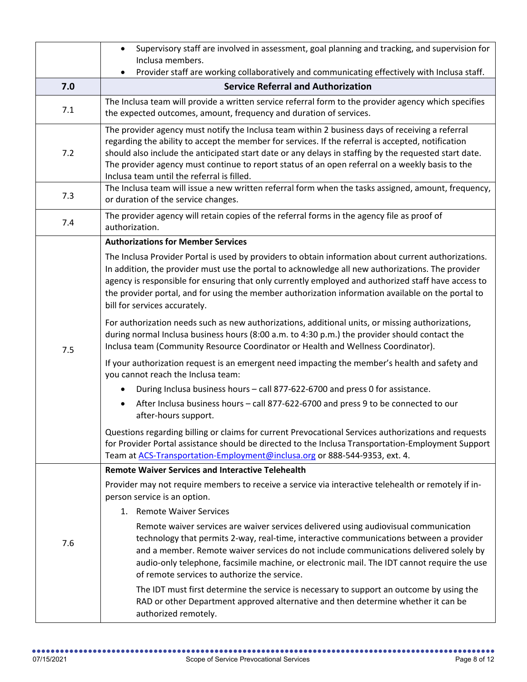|     | Supervisory staff are involved in assessment, goal planning and tracking, and supervision for<br>$\bullet$<br>Inclusa members.                                                                                                                                                                                                                                                                                                                                                                                                                                                                                                                                                                                                                                                                                                                                                                                                                                                                                                                                                                                                                                                                                                                                                                                                                                                                                                     |  |  |  |  |  |  |  |
|-----|------------------------------------------------------------------------------------------------------------------------------------------------------------------------------------------------------------------------------------------------------------------------------------------------------------------------------------------------------------------------------------------------------------------------------------------------------------------------------------------------------------------------------------------------------------------------------------------------------------------------------------------------------------------------------------------------------------------------------------------------------------------------------------------------------------------------------------------------------------------------------------------------------------------------------------------------------------------------------------------------------------------------------------------------------------------------------------------------------------------------------------------------------------------------------------------------------------------------------------------------------------------------------------------------------------------------------------------------------------------------------------------------------------------------------------|--|--|--|--|--|--|--|
|     | Provider staff are working collaboratively and communicating effectively with Inclusa staff.                                                                                                                                                                                                                                                                                                                                                                                                                                                                                                                                                                                                                                                                                                                                                                                                                                                                                                                                                                                                                                                                                                                                                                                                                                                                                                                                       |  |  |  |  |  |  |  |
| 7.0 | <b>Service Referral and Authorization</b>                                                                                                                                                                                                                                                                                                                                                                                                                                                                                                                                                                                                                                                                                                                                                                                                                                                                                                                                                                                                                                                                                                                                                                                                                                                                                                                                                                                          |  |  |  |  |  |  |  |
| 7.1 | The Inclusa team will provide a written service referral form to the provider agency which specifies<br>the expected outcomes, amount, frequency and duration of services.                                                                                                                                                                                                                                                                                                                                                                                                                                                                                                                                                                                                                                                                                                                                                                                                                                                                                                                                                                                                                                                                                                                                                                                                                                                         |  |  |  |  |  |  |  |
| 7.2 | The provider agency must notify the Inclusa team within 2 business days of receiving a referral<br>regarding the ability to accept the member for services. If the referral is accepted, notification<br>should also include the anticipated start date or any delays in staffing by the requested start date.<br>The provider agency must continue to report status of an open referral on a weekly basis to the<br>Inclusa team until the referral is filled.                                                                                                                                                                                                                                                                                                                                                                                                                                                                                                                                                                                                                                                                                                                                                                                                                                                                                                                                                                    |  |  |  |  |  |  |  |
| 7.3 | The Inclusa team will issue a new written referral form when the tasks assigned, amount, frequency,<br>or duration of the service changes.                                                                                                                                                                                                                                                                                                                                                                                                                                                                                                                                                                                                                                                                                                                                                                                                                                                                                                                                                                                                                                                                                                                                                                                                                                                                                         |  |  |  |  |  |  |  |
| 7.4 | The provider agency will retain copies of the referral forms in the agency file as proof of<br>authorization.                                                                                                                                                                                                                                                                                                                                                                                                                                                                                                                                                                                                                                                                                                                                                                                                                                                                                                                                                                                                                                                                                                                                                                                                                                                                                                                      |  |  |  |  |  |  |  |
| 7.5 | <b>Authorizations for Member Services</b><br>The Inclusa Provider Portal is used by providers to obtain information about current authorizations.<br>In addition, the provider must use the portal to acknowledge all new authorizations. The provider<br>agency is responsible for ensuring that only currently employed and authorized staff have access to<br>the provider portal, and for using the member authorization information available on the portal to<br>bill for services accurately.<br>For authorization needs such as new authorizations, additional units, or missing authorizations,<br>during normal Inclusa business hours (8:00 a.m. to 4:30 p.m.) the provider should contact the<br>Inclusa team (Community Resource Coordinator or Health and Wellness Coordinator).<br>If your authorization request is an emergent need impacting the member's health and safety and<br>you cannot reach the Inclusa team:<br>During Inclusa business hours - call 877-622-6700 and press 0 for assistance.<br>After Inclusa business hours - call 877-622-6700 and press 9 to be connected to our<br>after-hours support.<br>Questions regarding billing or claims for current Prevocational Services authorizations and requests<br>for Provider Portal assistance should be directed to the Inclusa Transportation-Employment Support<br>Team at ACS-Transportation-Employment@inclusa.org or 888-544-9353, ext. 4. |  |  |  |  |  |  |  |
| 7.6 | <b>Remote Waiver Services and Interactive Telehealth</b><br>Provider may not require members to receive a service via interactive telehealth or remotely if in-<br>person service is an option.<br>1. Remote Waiver Services<br>Remote waiver services are waiver services delivered using audiovisual communication<br>technology that permits 2-way, real-time, interactive communications between a provider<br>and a member. Remote waiver services do not include communications delivered solely by<br>audio-only telephone, facsimile machine, or electronic mail. The IDT cannot require the use<br>of remote services to authorize the service.<br>The IDT must first determine the service is necessary to support an outcome by using the<br>RAD or other Department approved alternative and then determine whether it can be<br>authorized remotely.                                                                                                                                                                                                                                                                                                                                                                                                                                                                                                                                                                  |  |  |  |  |  |  |  |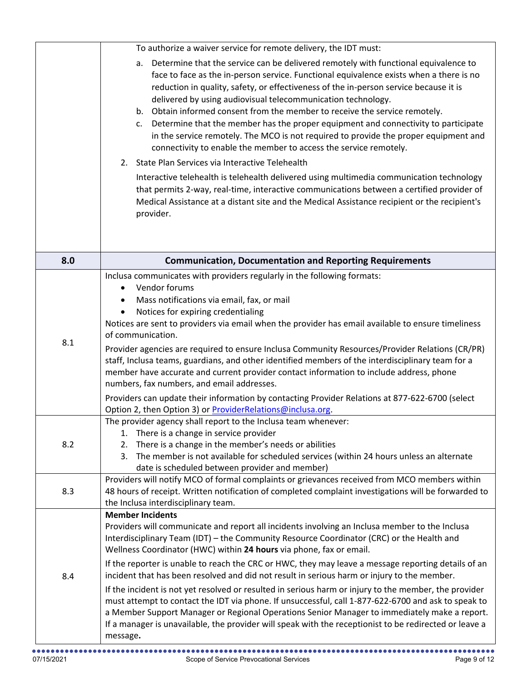|     | To authorize a waiver service for remote delivery, the IDT must:                                                                                                                                                                                                                                                                                                                                                                                                                                                                                                                                                                                                                                                                                                                                                                                                                                                                                                                                                                                 |
|-----|--------------------------------------------------------------------------------------------------------------------------------------------------------------------------------------------------------------------------------------------------------------------------------------------------------------------------------------------------------------------------------------------------------------------------------------------------------------------------------------------------------------------------------------------------------------------------------------------------------------------------------------------------------------------------------------------------------------------------------------------------------------------------------------------------------------------------------------------------------------------------------------------------------------------------------------------------------------------------------------------------------------------------------------------------|
|     | Determine that the service can be delivered remotely with functional equivalence to<br>a.<br>face to face as the in-person service. Functional equivalence exists when a there is no<br>reduction in quality, safety, or effectiveness of the in-person service because it is<br>delivered by using audiovisual telecommunication technology.<br>b. Obtain informed consent from the member to receive the service remotely.<br>Determine that the member has the proper equipment and connectivity to participate<br>c.<br>in the service remotely. The MCO is not required to provide the proper equipment and<br>connectivity to enable the member to access the service remotely.<br>2. State Plan Services via Interactive Telehealth<br>Interactive telehealth is telehealth delivered using multimedia communication technology<br>that permits 2-way, real-time, interactive communications between a certified provider of<br>Medical Assistance at a distant site and the Medical Assistance recipient or the recipient's<br>provider. |
| 8.0 | <b>Communication, Documentation and Reporting Requirements</b>                                                                                                                                                                                                                                                                                                                                                                                                                                                                                                                                                                                                                                                                                                                                                                                                                                                                                                                                                                                   |
| 8.1 | Inclusa communicates with providers regularly in the following formats:<br>Vendor forums<br>$\bullet$<br>Mass notifications via email, fax, or mail<br>Notices for expiring credentialing<br>$\bullet$<br>Notices are sent to providers via email when the provider has email available to ensure timeliness<br>of communication.<br>Provider agencies are required to ensure Inclusa Community Resources/Provider Relations (CR/PR)<br>staff, Inclusa teams, guardians, and other identified members of the interdisciplinary team for a<br>member have accurate and current provider contact information to include address, phone<br>numbers, fax numbers, and email addresses.<br>Providers can update their information by contacting Provider Relations at 877-622-6700 (select                                                                                                                                                                                                                                                            |
| 8.2 | Option 2, then Option 3) or ProviderRelations@inclusa.org.<br>The provider agency shall report to the Inclusa team whenever:<br>There is a change in service provider<br>1.<br>2.<br>There is a change in the member's needs or abilities<br>The member is not available for scheduled services (within 24 hours unless an alternate<br>3.<br>date is scheduled between provider and member)                                                                                                                                                                                                                                                                                                                                                                                                                                                                                                                                                                                                                                                     |
| 8.3 | Providers will notify MCO of formal complaints or grievances received from MCO members within<br>48 hours of receipt. Written notification of completed complaint investigations will be forwarded to<br>the Inclusa interdisciplinary team.                                                                                                                                                                                                                                                                                                                                                                                                                                                                                                                                                                                                                                                                                                                                                                                                     |
| 8.4 | <b>Member Incidents</b><br>Providers will communicate and report all incidents involving an Inclusa member to the Inclusa<br>Interdisciplinary Team (IDT) - the Community Resource Coordinator (CRC) or the Health and<br>Wellness Coordinator (HWC) within 24 hours via phone, fax or email.<br>If the reporter is unable to reach the CRC or HWC, they may leave a message reporting details of an<br>incident that has been resolved and did not result in serious harm or injury to the member.<br>If the incident is not yet resolved or resulted in serious harm or injury to the member, the provider<br>must attempt to contact the IDT via phone. If unsuccessful, call 1-877-622-6700 and ask to speak to<br>a Member Support Manager or Regional Operations Senior Manager to immediately make a report.<br>If a manager is unavailable, the provider will speak with the receptionist to be redirected or leave a<br>message.                                                                                                        |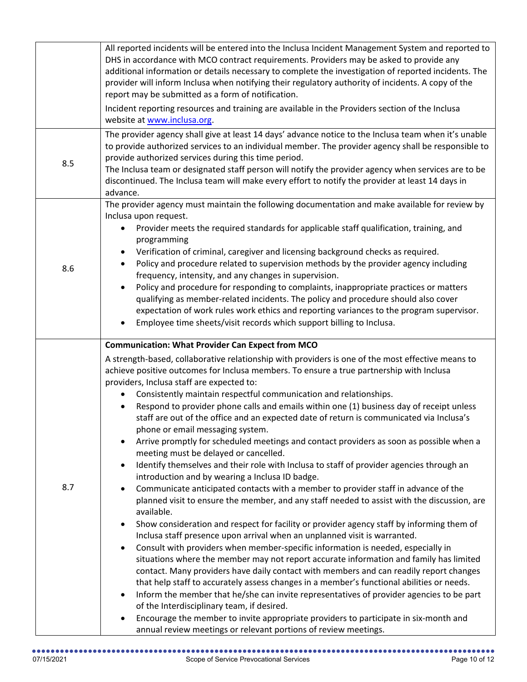|     | All reported incidents will be entered into the Inclusa Incident Management System and reported to<br>DHS in accordance with MCO contract requirements. Providers may be asked to provide any<br>additional information or details necessary to complete the investigation of reported incidents. The<br>provider will inform Inclusa when notifying their regulatory authority of incidents. A copy of the<br>report may be submitted as a form of notification.                                                                                                                                                                                                                                                                                                                                                                                                                                                                                                                                                                                                                                                                                                                                                                                                                                                                                                                                                                                                                                                                                                                                                                                                                                                                                                                                                                                                                                                                                                                                                   |
|-----|---------------------------------------------------------------------------------------------------------------------------------------------------------------------------------------------------------------------------------------------------------------------------------------------------------------------------------------------------------------------------------------------------------------------------------------------------------------------------------------------------------------------------------------------------------------------------------------------------------------------------------------------------------------------------------------------------------------------------------------------------------------------------------------------------------------------------------------------------------------------------------------------------------------------------------------------------------------------------------------------------------------------------------------------------------------------------------------------------------------------------------------------------------------------------------------------------------------------------------------------------------------------------------------------------------------------------------------------------------------------------------------------------------------------------------------------------------------------------------------------------------------------------------------------------------------------------------------------------------------------------------------------------------------------------------------------------------------------------------------------------------------------------------------------------------------------------------------------------------------------------------------------------------------------------------------------------------------------------------------------------------------------|
|     | Incident reporting resources and training are available in the Providers section of the Inclusa<br>website at www.inclusa.org.                                                                                                                                                                                                                                                                                                                                                                                                                                                                                                                                                                                                                                                                                                                                                                                                                                                                                                                                                                                                                                                                                                                                                                                                                                                                                                                                                                                                                                                                                                                                                                                                                                                                                                                                                                                                                                                                                      |
| 8.5 | The provider agency shall give at least 14 days' advance notice to the Inclusa team when it's unable<br>to provide authorized services to an individual member. The provider agency shall be responsible to<br>provide authorized services during this time period.<br>The Inclusa team or designated staff person will notify the provider agency when services are to be<br>discontinued. The Inclusa team will make every effort to notify the provider at least 14 days in<br>advance.                                                                                                                                                                                                                                                                                                                                                                                                                                                                                                                                                                                                                                                                                                                                                                                                                                                                                                                                                                                                                                                                                                                                                                                                                                                                                                                                                                                                                                                                                                                          |
| 8.6 | The provider agency must maintain the following documentation and make available for review by<br>Inclusa upon request.<br>Provider meets the required standards for applicable staff qualification, training, and<br>programming<br>Verification of criminal, caregiver and licensing background checks as required.<br>Policy and procedure related to supervision methods by the provider agency including<br>$\bullet$<br>frequency, intensity, and any changes in supervision.<br>Policy and procedure for responding to complaints, inappropriate practices or matters<br>qualifying as member-related incidents. The policy and procedure should also cover<br>expectation of work rules work ethics and reporting variances to the program supervisor.<br>Employee time sheets/visit records which support billing to Inclusa.                                                                                                                                                                                                                                                                                                                                                                                                                                                                                                                                                                                                                                                                                                                                                                                                                                                                                                                                                                                                                                                                                                                                                                              |
| 8.7 | <b>Communication: What Provider Can Expect from MCO</b><br>A strength-based, collaborative relationship with providers is one of the most effective means to<br>achieve positive outcomes for Inclusa members. To ensure a true partnership with Inclusa<br>providers, Inclusa staff are expected to:<br>Consistently maintain respectful communication and relationships.<br>$\bullet$<br>Respond to provider phone calls and emails within one (1) business day of receipt unless<br>$\bullet$<br>staff are out of the office and an expected date of return is communicated via Inclusa's<br>phone or email messaging system.<br>Arrive promptly for scheduled meetings and contact providers as soon as possible when a<br>meeting must be delayed or cancelled.<br>Identify themselves and their role with Inclusa to staff of provider agencies through an<br>٠<br>introduction and by wearing a Inclusa ID badge.<br>Communicate anticipated contacts with a member to provider staff in advance of the<br>$\bullet$<br>planned visit to ensure the member, and any staff needed to assist with the discussion, are<br>available.<br>Show consideration and respect for facility or provider agency staff by informing them of<br>$\bullet$<br>Inclusa staff presence upon arrival when an unplanned visit is warranted.<br>Consult with providers when member-specific information is needed, especially in<br>situations where the member may not report accurate information and family has limited<br>contact. Many providers have daily contact with members and can readily report changes<br>that help staff to accurately assess changes in a member's functional abilities or needs.<br>Inform the member that he/she can invite representatives of provider agencies to be part<br>٠<br>of the Interdisciplinary team, if desired.<br>Encourage the member to invite appropriate providers to participate in six-month and<br>٠<br>annual review meetings or relevant portions of review meetings. |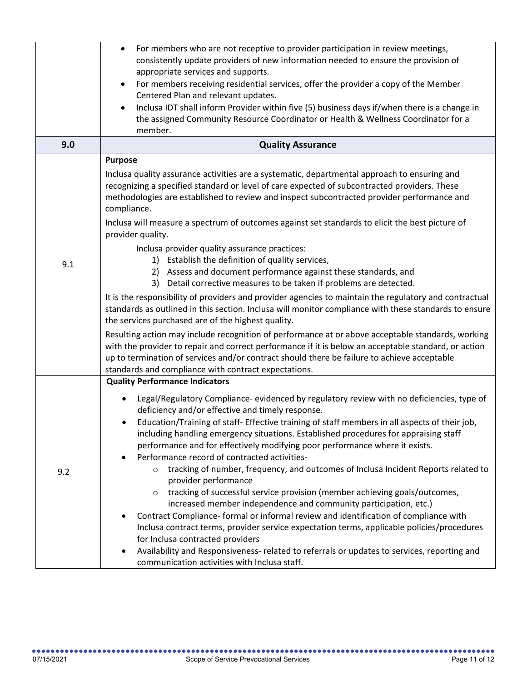|     | For members who are not receptive to provider participation in review meetings,<br>$\bullet$<br>consistently update providers of new information needed to ensure the provision of<br>appropriate services and supports.<br>For members receiving residential services, offer the provider a copy of the Member<br>Centered Plan and relevant updates.<br>Inclusa IDT shall inform Provider within five (5) business days if/when there is a change in                                                                                                                                                                                                                                                                                                                                                                                                                                                                                                                                                                                                                                                                                                                                                                                                                                                                                             |
|-----|----------------------------------------------------------------------------------------------------------------------------------------------------------------------------------------------------------------------------------------------------------------------------------------------------------------------------------------------------------------------------------------------------------------------------------------------------------------------------------------------------------------------------------------------------------------------------------------------------------------------------------------------------------------------------------------------------------------------------------------------------------------------------------------------------------------------------------------------------------------------------------------------------------------------------------------------------------------------------------------------------------------------------------------------------------------------------------------------------------------------------------------------------------------------------------------------------------------------------------------------------------------------------------------------------------------------------------------------------|
|     | the assigned Community Resource Coordinator or Health & Wellness Coordinator for a<br>member.                                                                                                                                                                                                                                                                                                                                                                                                                                                                                                                                                                                                                                                                                                                                                                                                                                                                                                                                                                                                                                                                                                                                                                                                                                                      |
| 9.0 | <b>Quality Assurance</b>                                                                                                                                                                                                                                                                                                                                                                                                                                                                                                                                                                                                                                                                                                                                                                                                                                                                                                                                                                                                                                                                                                                                                                                                                                                                                                                           |
| 9.1 | <b>Purpose</b><br>Inclusa quality assurance activities are a systematic, departmental approach to ensuring and<br>recognizing a specified standard or level of care expected of subcontracted providers. These<br>methodologies are established to review and inspect subcontracted provider performance and<br>compliance.<br>Inclusa will measure a spectrum of outcomes against set standards to elicit the best picture of<br>provider quality.<br>Inclusa provider quality assurance practices:<br>1) Establish the definition of quality services,<br>Assess and document performance against these standards, and<br>2)<br>3) Detail corrective measures to be taken if problems are detected.<br>It is the responsibility of providers and provider agencies to maintain the regulatory and contractual<br>standards as outlined in this section. Inclusa will monitor compliance with these standards to ensure<br>the services purchased are of the highest quality.<br>Resulting action may include recognition of performance at or above acceptable standards, working<br>with the provider to repair and correct performance if it is below an acceptable standard, or action<br>up to termination of services and/or contract should there be failure to achieve acceptable<br>standards and compliance with contract expectations. |
| 9.2 | <b>Quality Performance Indicators</b><br>Legal/Regulatory Compliance- evidenced by regulatory review with no deficiencies, type of<br>deficiency and/or effective and timely response.<br>Education/Training of staff- Effective training of staff members in all aspects of their job,<br>including handling emergency situations. Established procedures for appraising staff<br>performance and for effectively modifying poor performance where it exists.<br>Performance record of contracted activities-<br>tracking of number, frequency, and outcomes of Inclusa Incident Reports related to<br>$\circ$<br>provider performance<br>tracking of successful service provision (member achieving goals/outcomes,<br>$\circ$<br>increased member independence and community participation, etc.)<br>Contract Compliance- formal or informal review and identification of compliance with<br>Inclusa contract terms, provider service expectation terms, applicable policies/procedures<br>for Inclusa contracted providers<br>Availability and Responsiveness- related to referrals or updates to services, reporting and<br>٠<br>communication activities with Inclusa staff.                                                                                                                                                                 |